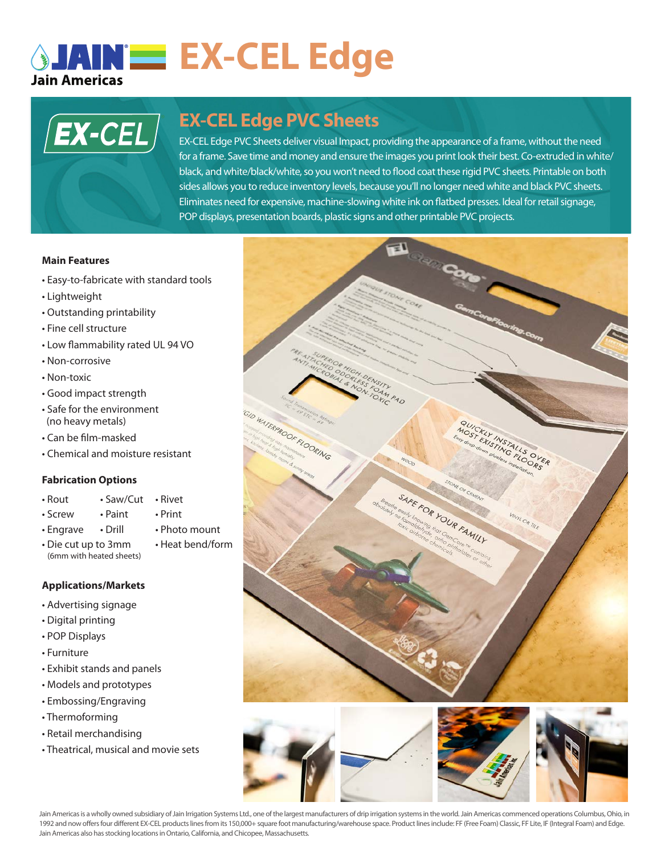# **AINE EX-CEL Edge**



# **EX-CEL Edge PVC Sheets**

sides allows you to reduce inventory levels, because you'll no longer need white and black PVC sheets. EX-CEL Edge PVC Sheets deliver visual Impact, providing the appearance of a frame, without the need for a frame. Save time and money and ensure the images you print look their best. Co-extruded in white/ black, and white/black/white, so you won't need to flood coat these rigid PVC sheets. Printable on both Eliminates need for expensive, machine-slowing white ink on flatbed presses. Ideal for retail signage, POP displays, presentation boards, plastic signs and other printable PVC projects.

### **Main Features**

- Easy-to-fabricate with standard tools
- Lightweight
- Outstanding printability
- Fine cell structure
- Low flammability rated UL 94 VO
- Non-corrosive
- Non-toxic
- Good impact strength
- Safe for the environment (no heavy metals)
- Can be film-masked
- Chemical and moisture resistant

## **Fabrication Options**

- Rout Saw/Cut Rivet
	-
- Screw Paint Print
	-
- (6mm with heated sheets)

## **Applications/Markets**

- Advertising signage
- Digital printing
- POP Displays
- Furniture
- Exhibit stands and panels
- Models and prototypes
- Embossing/Engraving
- Thermoforming
- Retail merchandising
- Theatrical, musical and movie sets





Jain Americas is a wholly owned subsidiary of Jain Irrigation Systems Ltd., one of the largest manufacturers of drip irrigation systems in the world. Jain Americas commenced operations Columbus, Ohio, in 1992 and now offers four different EX-CEL products lines from its 150,000+ square foot manufacturing/warehouse space. Product lines include: FF (Free Foam) Classic, FF Lite, IF (Integral Foam) and Edge. Jain Americas also has stocking locations in Ontario, California, and Chicopee, Massachusetts.

• Engrave • Drill • Photo mount • Die cut up to 3mm • Heat bend/form